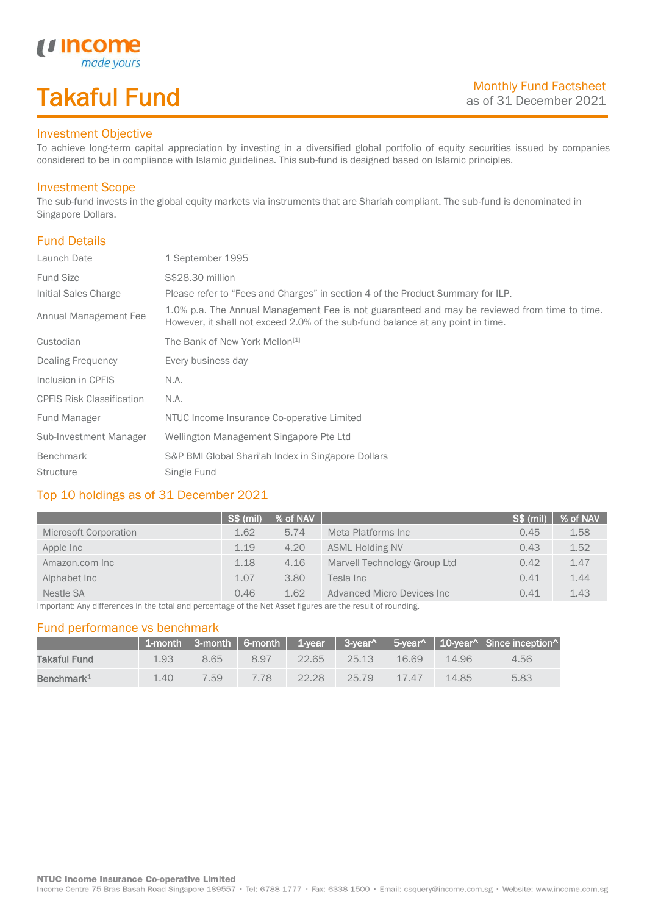# Takaful Fund

made yours

### Investment Objective

*u* Income

To achieve long-term capital appreciation by investing in a diversified global portfolio of equity securities issued by companies considered to be in compliance with Islamic guidelines. This sub-fund is designed based on Islamic principles.

#### Investment Scope

The sub-fund invests in the global equity markets via instruments that are Shariah compliant. The sub-fund is denominated in Singapore Dollars.

### Fund Details

I

| Launch Date                      | 1 September 1995                                                                                                                                                                |  |
|----------------------------------|---------------------------------------------------------------------------------------------------------------------------------------------------------------------------------|--|
| <b>Fund Size</b>                 | S\$28.30 million                                                                                                                                                                |  |
| Initial Sales Charge             | Please refer to "Fees and Charges" in section 4 of the Product Summary for ILP.                                                                                                 |  |
| Annual Management Fee            | 1.0% p.a. The Annual Management Fee is not guaranteed and may be reviewed from time to time.<br>However, it shall not exceed 2.0% of the sub-fund balance at any point in time. |  |
| Custodian                        | The Bank of New York Mellon <sup>[1]</sup>                                                                                                                                      |  |
| Dealing Frequency                | Every business day                                                                                                                                                              |  |
| Inclusion in CPFIS               | N.A.                                                                                                                                                                            |  |
| <b>CPFIS Risk Classification</b> | N.A.                                                                                                                                                                            |  |
| Fund Manager                     | NTUC Income Insurance Co-operative Limited                                                                                                                                      |  |
| Sub-Investment Manager           | Wellington Management Singapore Pte Ltd                                                                                                                                         |  |
| <b>Benchmark</b>                 | S&P BMI Global Shari'ah Index in Singapore Dollars                                                                                                                              |  |
| <b>Structure</b>                 | Single Fund                                                                                                                                                                     |  |

### Top 10 holdings as of 31 December 2021

| ∫S\$ (mil) |      |                              | S\$ (mil) | % of NAV |
|------------|------|------------------------------|-----------|----------|
| 1.62       | 5.74 | Meta Platforms Inc           | 0.45      | 1.58     |
| 1.19       | 4.20 | <b>ASML Holding NV</b>       | 0.43      | 1.52     |
| 1.18       | 4.16 | Marvell Technology Group Ltd | 0.42      | 1.47     |
| 1.07       | 3.80 | Tesla Inc                    | 0.41      | 1.44     |
| 0.46       | 1.62 | Advanced Micro Devices Inc.  | 0.41      | 1.43     |
|            |      | $ %$ of NAV $ $              |           |          |

Important: Any differences in the total and percentage of the Net Asset figures are the result of rounding.

#### Fund performance vs benchmark

|                        |      |      |      |       |       |          |       | 1-month   3-month   6-month   1-year   3-year^   5-year^   10-year^   Since inception^ |
|------------------------|------|------|------|-------|-------|----------|-------|----------------------------------------------------------------------------------------|
| Takaful Fund           | 1.93 | 8.65 | 897  | 22.65 | 25.13 | 16.69    | 14.96 | 4.56                                                                                   |
| Benchmark <sup>1</sup> | 1.40 | 759  | 7.78 | 22.28 | 25.79 | $-17.47$ | 14.85 | 5.83                                                                                   |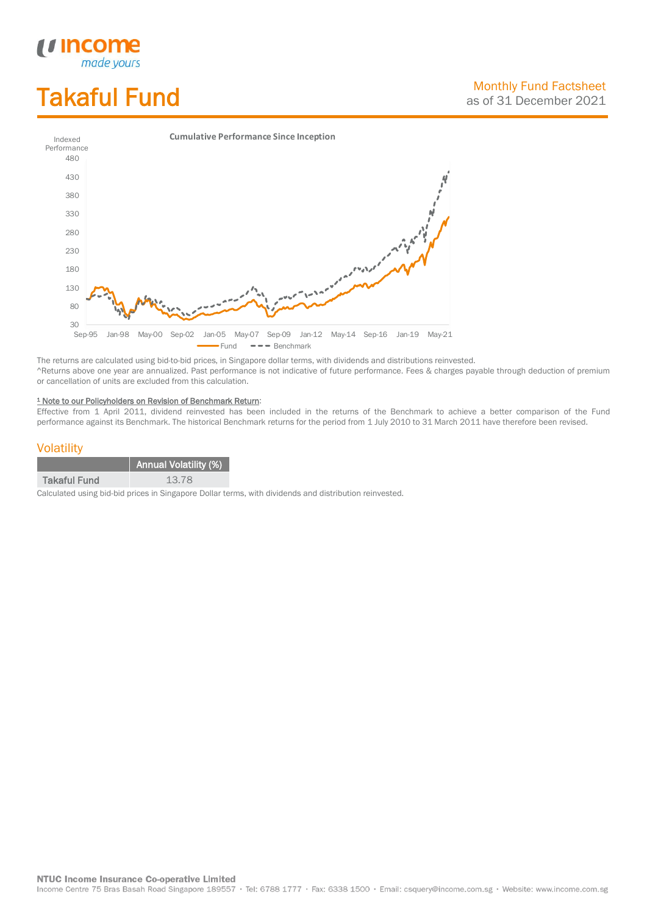# Takaful Fund

*<u>Income</u>*<br>made yours

I



The returns are calculated using bid-to-bid prices, in Singapore dollar terms, with dividends and distributions reinvested. ^Returns above one year are annualized. Past performance is not indicative of future performance. Fees & charges payable through deduction of premium or cancellation of units are excluded from this calculation.

#### <sup>1</sup> Note to our Policyholders on Revision of Benchmark Return:

Effective from 1 April 2011, dividend reinvested has been included in the returns of the Benchmark to achieve a better comparison of the Fund performance against its Benchmark. The historical Benchmark returns for the period from 1 July 2010 to 31 March 2011 have therefore been revised.

#### **Volatility**

|                     | <b>Annual Volatility (%)</b> |
|---------------------|------------------------------|
| <b>Takaful Fund</b> | 13.78                        |

Calculated using bid-bid prices in Singapore Dollar terms, with dividends and distribution reinvested.

**NTUC Income Insurance Co-operative Limited** 

Income Centre 75 Bras Basah Road Singapore 189557 · Tel: 6788 1777 · Fax: 6338 1500 · Email: csquery@income.com.sg · Website: www.income.com.sg